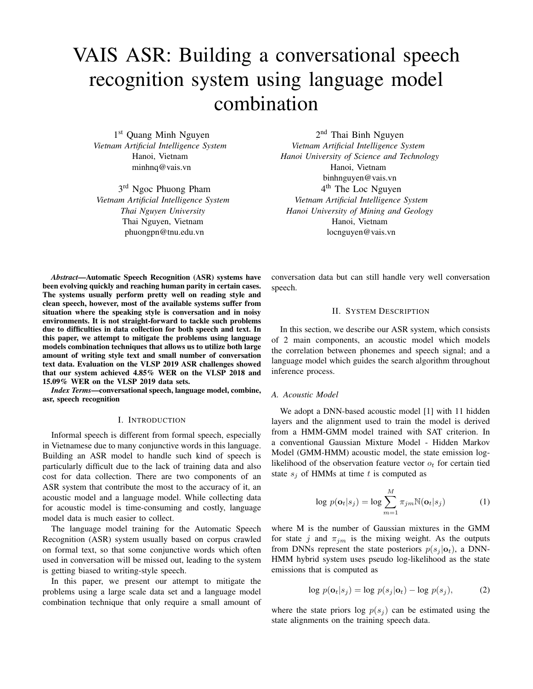# VAIS ASR: Building a conversational speech recognition system using language model combination

1 st Quang Minh Nguyen *Vietnam Artificial Intelligence System* Hanoi, Vietnam minhnq@vais.vn

3<sup>rd</sup> Ngoc Phuong Pham *Vietnam Artificial Intelligence System Thai Nguyen University* Thai Nguyen, Vietnam phuongpn@tnu.edu.vn

2<sup>nd</sup> Thai Binh Nguyen *Vietnam Artificial Intelligence System Hanoi University of Science and Technology* Hanoi, Vietnam binhnguyen@vais.vn 4<sup>th</sup> The Loc Nguyen *Vietnam Artificial Intelligence System Hanoi University of Mining and Geology* Hanoi, Vietnam locnguyen@vais.vn

*Abstract*—Automatic Speech Recognition (ASR) systems have been evolving quickly and reaching human parity in certain cases. The systems usually perform pretty well on reading style and clean speech, however, most of the available systems suffer from situation where the speaking style is conversation and in noisy environments. It is not straight-forward to tackle such problems due to difficulties in data collection for both speech and text. In this paper, we attempt to mitigate the problems using language models combination techniques that allows us to utilize both large amount of writing style text and small number of conversation text data. Evaluation on the VLSP 2019 ASR challenges showed that our system achieved 4.85% WER on the VLSP 2018 and 15.09% WER on the VLSP 2019 data sets.

*Index Terms*—conversational speech, language model, combine, asr, speech recognition

#### I. INTRODUCTION

Informal speech is different from formal speech, especially in Vietnamese due to many conjunctive words in this language. Building an ASR model to handle such kind of speech is particularly difficult due to the lack of training data and also cost for data collection. There are two components of an ASR system that contribute the most to the accuracy of it, an acoustic model and a language model. While collecting data for acoustic model is time-consuming and costly, language model data is much easier to collect.

The language model training for the Automatic Speech Recognition (ASR) system usually based on corpus crawled on formal text, so that some conjunctive words which often used in conversation will be missed out, leading to the system is getting biased to writing-style speech.

In this paper, we present our attempt to mitigate the problems using a large scale data set and a language model combination technique that only require a small amount of conversation data but can still handle very well conversation speech.

#### II. SYSTEM DESCRIPTION

In this section, we describe our ASR system, which consists of 2 main components, an acoustic model which models the correlation between phonemes and speech signal; and a language model which guides the search algorithm throughout inference process.

## *A. Acoustic Model*

We adopt a DNN-based acoustic model [1] with 11 hidden layers and the alignment used to train the model is derived from a HMM-GMM model trained with SAT criterion. In a conventional Gaussian Mixture Model - Hidden Markov Model (GMM-HMM) acoustic model, the state emission loglikelihood of the observation feature vector  $o_t$  for certain tied state  $s_j$  of HMMs at time t is computed as

$$
\log p(\mathbf{o}_t|s_j) = \log \sum_{m=1}^{M} \pi_{jm} \mathbb{N}(\mathbf{o}_t|s_j)
$$
 (1)

where M is the number of Gaussian mixtures in the GMM for state j and  $\pi_{im}$  is the mixing weight. As the outputs from DNNs represent the state posteriors  $p(s_j | \mathbf{o}_t)$ , a DNN-HMM hybrid system uses pseudo log-likelihood as the state emissions that is computed as

$$
\log p(\mathbf{o}_t|s_j) = \log p(s_j|\mathbf{o}_t) - \log p(s_j),\tag{2}
$$

where the state priors log  $p(s_i)$  can be estimated using the state alignments on the training speech data.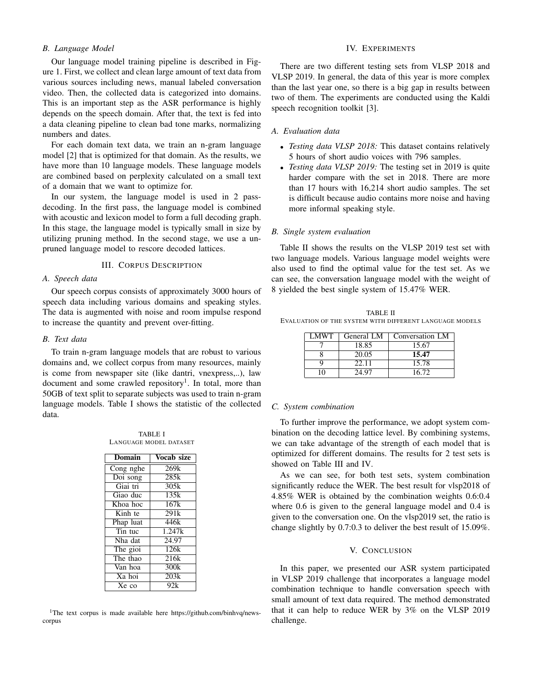# **B.** Language Model

Our language model training pipeline is described in Figure 1. First, we collect and clean large amount of text data from various sources including news, manual labeled conversation video. Then, the collected data is categorized into domains. This is an important step as the ASR performance is highly depends on the speech domain. After that, the text is fed into a data cleaning pipeline to clean bad tone marks, normalizing numbers and dates.

For each domain text data, we train an n-gram language model [2] that is optimized for that domain. As the results, we have more than 10 language models. These language models are combined based on perplexity calculated on a small text of a domain that we want to optimize for.

In our system, the language model is used in 2 passdecoding. In the first pass, the language model is combined with acoustic and lexicon model to form a full decoding graph. In this stage, the language model is typically small in size by utilizing pruning method. In the second stage, we use a unpruned language model to rescore decoded lattices.

#### **III. CORPUS DESCRIPTION**

## A. Speech data

Our speech corpus consists of approximately 3000 hours of speech data including various domains and speaking styles. The data is augmented with noise and room impulse respond to increase the quantity and prevent over-fitting.

### B. Text data

To train n-gram language models that are robust to various domains and, we collect corpus from many resources, mainly is come from newspaper site (like dantri, vnexpress,..), law document and some crawled repository<sup>1</sup>. In total, more than 50GB of text split to separate subjects was used to train n-gram language models. Table I shows the statistic of the collected data.

**TARLE I** LANGUAGE MODEL DATASET

| Domain                       | Vocab size       |
|------------------------------|------------------|
| Cong nghe                    | 269k             |
| Doi song                     | 285k             |
| Giai tri                     | 305k             |
| Giao duc                     | 135k             |
| Khoa hoc                     | 167k             |
| $\overline{\text{K}}$ inh te | 291k             |
| Phap luat                    | 446k             |
| Tin tuc                      | 1.247k           |
| Nha dat                      | 24.97            |
| The gioi                     | 126k             |
| The thao                     | 216 <sub>k</sub> |
| Van hoa                      | 300k             |
| Xa hoi                       | 203k             |
| Xe co                        | 92k              |

<sup>1</sup>The text corpus is made available here https://github.com/binhvq/newscorpus

## **IV. EXPERIMENTS**

There are two different testing sets from VLSP 2018 and VLSP 2019. In general, the data of this year is more complex than the last year one, so there is a big gap in results between two of them. The experiments are conducted using the Kaldi speech recognition toolkit [3].

#### A. Evaluation data

- *Testing data VLSP 2018*: This dataset contains relatively 5 hours of short audio voices with 796 samples.
- Testing data VLSP 2019: The testing set in 2019 is quite harder compare with the set in 2018. There are more than 17 hours with 16,214 short audio samples. The set is difficult because audio contains more noise and having more informal speaking style.

## B. Single system evaluation

Table II shows the results on the VLSP 2019 test set with two language models. Various language model weights were also used to find the optimal value for the test set. As we can see, the conversation language model with the weight of 8 yielded the best single system of 15.47% WER.

**TABLE II** EVALUATION OF THE SYSTEM WITH DIFFERENT LANGUAGE MODELS

| LMWT. | General LM | Conversation LM |
|-------|------------|-----------------|
|       | 18.85      | 15.67           |
|       | 20.05      | 15.47           |
|       | 22.11      | 15.78           |
|       | 24.97      | 16.72           |

#### C. System combination

To further improve the performance, we adopt system combination on the decoding lattice level. By combining systems, we can take advantage of the strength of each model that is optimized for different domains. The results for 2 test sets is showed on Table III and IV.

As we can see, for both test sets, system combination significantly reduce the WER. The best result for vlsp2018 of 4.85% WER is obtained by the combination weights 0.6:0.4 where 0.6 is given to the general language model and 0.4 is given to the conversation one. On the vlsp2019 set, the ratio is change slightly by  $0.7:0.3$  to deliver the best result of  $15.09\%$ .

#### V. CONCLUSION

In this paper, we presented our ASR system participated in VLSP 2019 challenge that incorporates a language model combination technique to handle conversation speech with small amount of text data required. The method demonstrated that it can help to reduce WER by 3% on the VLSP 2019 challenge.